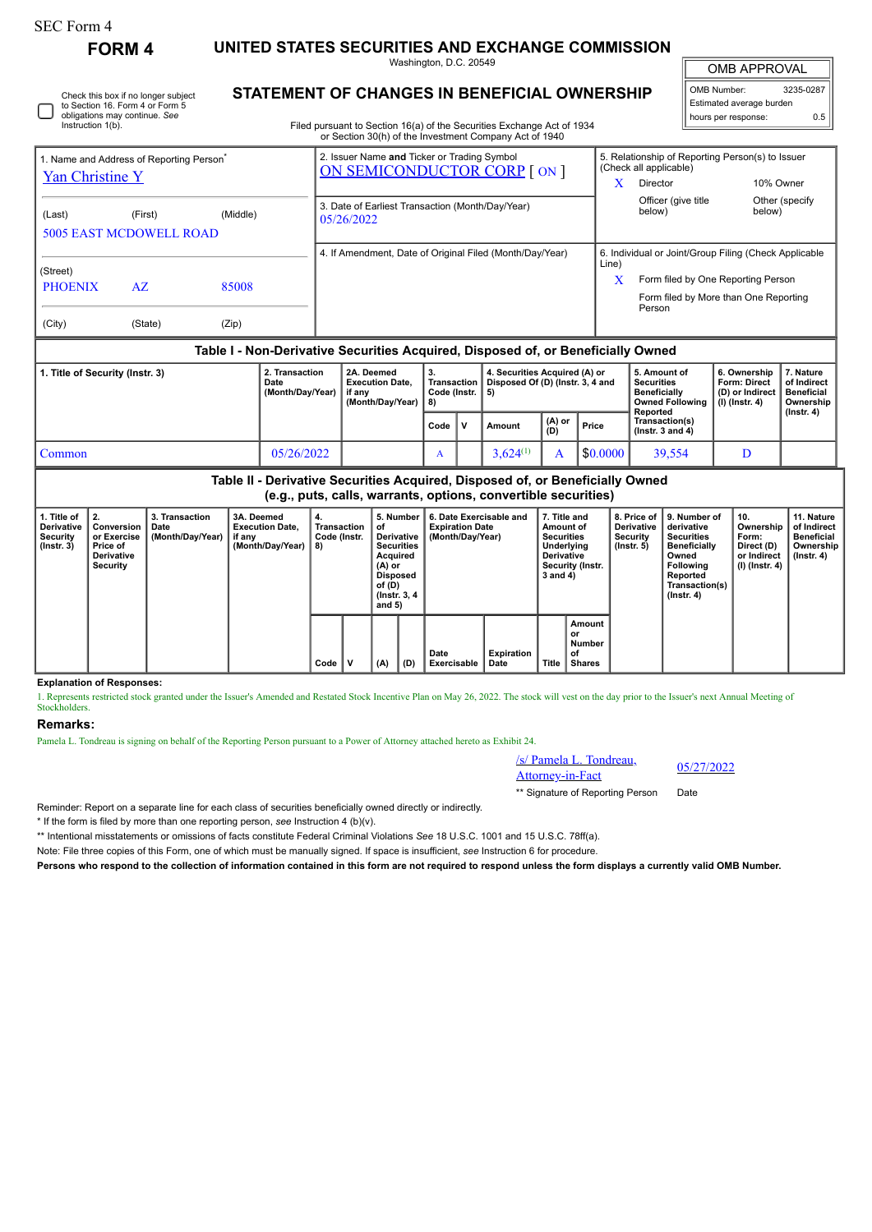Instruction 1(b).

Check this box if no longer subject to Section 16. Form 4 or Form 5 obligations may continue. *See*

**FORM 4 UNITED STATES SECURITIES AND EXCHANGE COMMISSION**

Washington, D.C. 20549

OMB APPROVAL

 $\mathbb{I}$ 

| OMB Number:<br>3235-0287 |     |  |  |  |  |  |  |  |
|--------------------------|-----|--|--|--|--|--|--|--|
| Estimated average burden |     |  |  |  |  |  |  |  |
| hours per response:      | ሰ 5 |  |  |  |  |  |  |  |

**STATEMENT OF CHANGES IN BENEFICIAL OWNERSHIP** Filed pursuant to Section 16(a) of the Securities Exchange Act of 1934 or Section 30(h) of the Investment Company Act of 1940

1. Name and Address of Reporting Person\* [Yan Christine Y](http://www.sec.gov/cgi-bin/browse-edgar?action=getcompany&CIK=0001607095) (Last) (First) (Middle) 5005 EAST MCDOWELL ROAD (Street) PHOENIX AZ 85008 (City) (State) (Zip) 2. Issuer Name **and** Ticker or Trading Symbol [ON SEMICONDUCTOR CORP](http://www.sec.gov/cgi-bin/browse-edgar?action=getcompany&CIK=0001097864) [ ON ] 5. Relationship of Reporting Person(s) to Issuer (Check all applicable) X Director 10% Owner Officer (give title below) Other (specify 3. Date of Earliest Transaction (Month/Day/Year) end of the University of the University of the University of the University of the University of the University of the University of the University of the University of the 05/26/2022 4. If Amendment, Date of Original Filed (Month/Day/Year) | 6. Individual or Joint/Group Filing (Check Applicable Line) X Form filed by One Reporting Person Form filed by More than One Reporting Person **Table I - Non-Derivative Securities Acquired, Disposed of, or Beneficially Owned**

| . Title of Security (Instr. 3) | 2. Transaction<br>Date<br>(Month/Day/Year) | 2A. Deemed<br><b>Execution Date.</b><br>if anv<br>(Month/Dav/Year)   8) | 3.<br>Transaction<br>Code (Instr. 1 |  | 4. Securities Acquired (A) or<br>Disposed Of (D) (Instr. 3, 4 and<br>- 51 |                 |          | 5. Amount of<br><b>Securities</b><br><b>Beneficially</b><br>Owned Following | 6. Ownership<br><b>Form: Direct</b><br>(D) or Indirect<br>$(1)$ (Instr. 4) | . Nature<br>of Indirect<br><b>Beneficial</b><br>Ownership |
|--------------------------------|--------------------------------------------|-------------------------------------------------------------------------|-------------------------------------|--|---------------------------------------------------------------------------|-----------------|----------|-----------------------------------------------------------------------------|----------------------------------------------------------------------------|-----------------------------------------------------------|
|                                |                                            |                                                                         | Code                                |  | Amount                                                                    | $(A)$ or<br>(D) | Price    | Reported<br>Transaction(s)<br>( $lnstr.$ 3 and 4)                           |                                                                            | (Instr. 4)                                                |
| Common                         | 05/26/2022                                 |                                                                         |                                     |  | $3.624^{(1)}$                                                             |                 | \$0.0000 | 39.554                                                                      |                                                                            |                                                           |

**Table II - Derivative Securities Acquired, Disposed of, or Beneficially Owned (e.g., puts, calls, warrants, options, convertible securities)**

| 1. Title of<br><b>Derivative</b><br>Security<br>$($ lnstr. 3 $)$ | $\perp$ 2.<br>Conversion<br>or Exercise<br>Price of<br><b>Derivative</b><br>Security | 3. Transaction<br>Date<br>(Month/Day/Year) | 3A. Deemed<br><b>Execution Date.</b><br>if any<br>(Month/Day/Year) | 4.<br><b>Transaction</b><br>Code (Instr.<br>8) |   | 5. Number<br>οf<br>Derivative  <br><b>Securities</b><br>Acquired<br>$(A)$ or<br><b>Disposed</b><br>of (D)<br>(Instr. 3, 4)<br>and $5)$ |     | 6. Date Exercisable and<br><b>Expiration Date</b><br>(Month/Day/Year) | 7. Title and<br>Amount of<br><b>Securities</b><br>Underlying<br><b>Derivative</b><br>Security (Instr.<br>3 and 4) |              | 8. Price of<br><b>Derivative</b><br>Security<br>$($ lnstr. 5 $)$ | 9. Number of<br>derivative<br><b>Securities</b><br><b>Beneficially</b><br>Owned<br><b>Following</b><br>Reported<br>Transaction(s)<br>$($ lnstr. 4 $)$ | 10.<br>Ownership<br>Form:<br>Direct (D)<br>or Indirect<br>(I) (Instr. 4) | 11. Nature<br>of Indirect<br><b>Beneficial</b><br>Ownership<br>$($ lnstr. 4 $)$ |  |
|------------------------------------------------------------------|--------------------------------------------------------------------------------------|--------------------------------------------|--------------------------------------------------------------------|------------------------------------------------|---|----------------------------------------------------------------------------------------------------------------------------------------|-----|-----------------------------------------------------------------------|-------------------------------------------------------------------------------------------------------------------|--------------|------------------------------------------------------------------|-------------------------------------------------------------------------------------------------------------------------------------------------------|--------------------------------------------------------------------------|---------------------------------------------------------------------------------|--|
|                                                                  |                                                                                      |                                            |                                                                    | Code                                           | v | (A)                                                                                                                                    | (D) | Date<br>Exercisable                                                   | <b>Expiration</b><br>Date                                                                                         | <b>Title</b> | Amount<br>or<br>Number<br>οf<br><b>Shares</b>                    |                                                                                                                                                       |                                                                          |                                                                                 |  |

**Explanation of Responses:**

1. Represents restricted stock granted under the Issuer's Amended and Restated Stock Incentive Plan on May 26, 2022. The stock will vest on the day prior to the Issuer's next Annual Meeting of **Stockholders** 

## **Remarks:**

Pamela L. Tondreau is signing on behalf of the Reporting Person pursuant to a Power of Attorney attached hereto as Exhibit 24.

/s/ Pamela L. Tondreau,  $\frac{\text{S}}{\text{Atotomey-in-Fact}}$  05/27/2022

\*\* Signature of Reporting Person Date

Reminder: Report on a separate line for each class of securities beneficially owned directly or indirectly.

\* If the form is filed by more than one reporting person, *see* Instruction 4 (b)(v).

\*\* Intentional misstatements or omissions of facts constitute Federal Criminal Violations *See* 18 U.S.C. 1001 and 15 U.S.C. 78ff(a).

Note: File three copies of this Form, one of which must be manually signed. If space is insufficient, *see* Instruction 6 for procedure.

**Persons who respond to the collection of information contained in this form are not required to respond unless the form displays a currently valid OMB Number.**